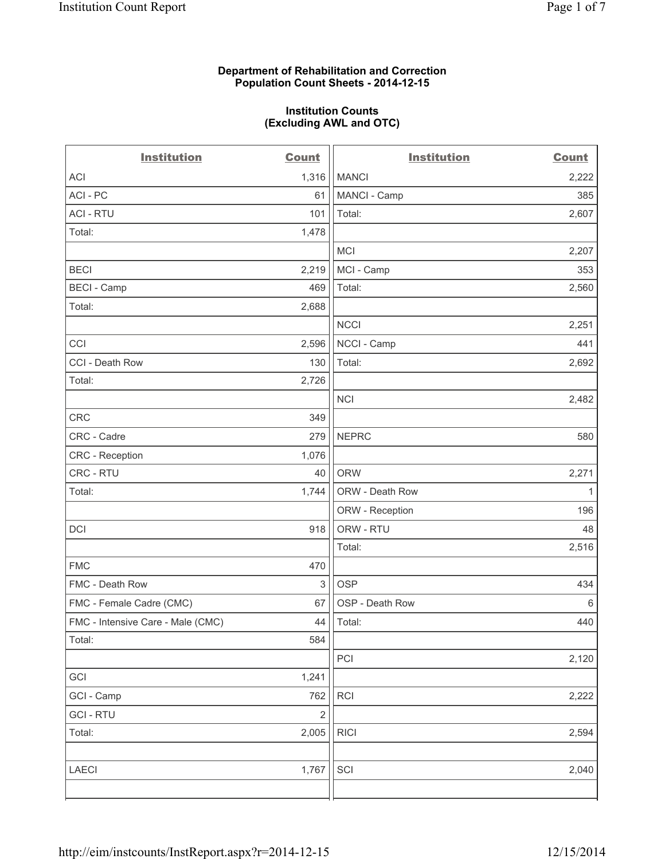### **Department of Rehabilitation and Correction Population Count Sheets - 2014-12-15**

#### **Institution Counts (Excluding AWL and OTC)**

| <b>Institution</b>                | <b>Count</b>            | <b>Institution</b> | <b>Count</b> |
|-----------------------------------|-------------------------|--------------------|--------------|
| <b>ACI</b>                        | 1,316                   | <b>MANCI</b>       | 2,222        |
| ACI - PC                          | 61                      | MANCI - Camp       | 385          |
| <b>ACI - RTU</b>                  | 101                     | Total:             | 2,607        |
| Total:                            | 1,478                   |                    |              |
|                                   |                         | <b>MCI</b>         | 2,207        |
| <b>BECI</b>                       | 2,219                   | MCI - Camp         | 353          |
| <b>BECI - Camp</b>                | 469                     | Total:             | 2,560        |
| Total:                            | 2,688                   |                    |              |
|                                   |                         | <b>NCCI</b>        | 2,251        |
| CCI                               | 2,596                   | NCCI - Camp        | 441          |
| CCI - Death Row                   | 130                     | Total:             | 2,692        |
| Total:                            | 2,726                   |                    |              |
|                                   |                         | <b>NCI</b>         | 2,482        |
| CRC                               | 349                     |                    |              |
| CRC - Cadre                       | 279                     | <b>NEPRC</b>       | 580          |
| CRC - Reception                   | 1,076                   |                    |              |
| CRC - RTU                         | 40                      | <b>ORW</b>         | 2,271        |
| Total:                            | 1,744                   | ORW - Death Row    | 1            |
|                                   |                         | ORW - Reception    | 196          |
| <b>DCI</b>                        | 918                     | ORW - RTU          | 48           |
|                                   |                         | Total:             | 2,516        |
| <b>FMC</b>                        | 470                     |                    |              |
| FMC - Death Row                   | 3                       | <b>OSP</b>         | 434          |
| FMC - Female Cadre (CMC)          | 67                      | OSP - Death Row    | 6            |
| FMC - Intensive Care - Male (CMC) | 44                      | Total:             | 440          |
| Total:                            | 584                     |                    |              |
|                                   |                         | PCI                | 2,120        |
| GCI                               | 1,241                   |                    |              |
| GCI - Camp                        | 762                     | <b>RCI</b>         | 2,222        |
| <b>GCI-RTU</b>                    | $\overline{\mathbf{c}}$ |                    |              |
| Total:                            | 2,005                   | <b>RICI</b>        | 2,594        |
|                                   |                         |                    |              |
| LAECI                             | 1,767                   | SCI                | 2,040        |
|                                   |                         |                    |              |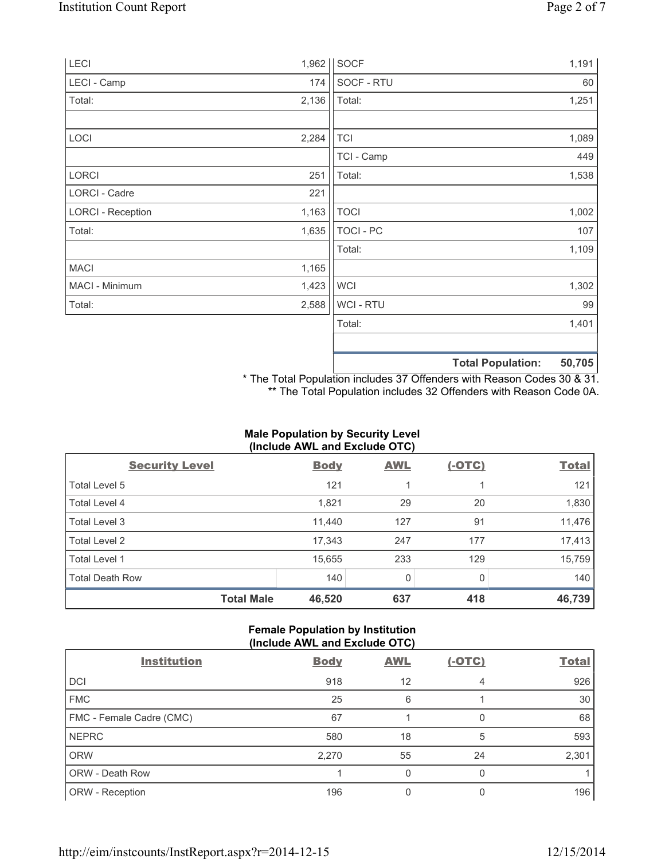|                          |       |                  | <b>Total Population:</b> | 50,705 |
|--------------------------|-------|------------------|--------------------------|--------|
|                          |       |                  |                          |        |
|                          |       | Total:           |                          | 1,401  |
| Total:                   | 2,588 | WCI - RTU        |                          | 99     |
| MACI - Minimum           | 1,423 | <b>WCI</b>       |                          | 1,302  |
| <b>MACI</b>              | 1,165 |                  |                          |        |
|                          |       | Total:           |                          | 1,109  |
| Total:                   | 1,635 | <b>TOCI - PC</b> |                          | 107    |
| <b>LORCI - Reception</b> | 1,163 | <b>TOCI</b>      |                          | 1,002  |
| LORCI - Cadre            | 221   |                  |                          |        |
| LORCI                    | 251   | Total:           |                          | 1,538  |
|                          |       | TCI - Camp       |                          | 449    |
| LOCI                     | 2,284 | <b>TCI</b>       |                          | 1,089  |
| Total:                   | 2,136 | Total:           |                          | 1,251  |
| LECI - Camp              | 174   | SOCF - RTU       |                          | 60     |
|                          |       |                  |                          |        |
| LECI                     | 1,962 | <b>SOCF</b>      |                          | 1,191  |

\* The Total Population includes 37 Offenders with Reason Codes 30 & 31. \*\* The Total Population includes 32 Offenders with Reason Code 0A.

## **Male Population by Security Level (Include AWL and Exclude OTC)**

| <b>Security Level</b>  | <b>Body</b> | <b>AWL</b> | $(-OTC)$ | <b>Total</b> |
|------------------------|-------------|------------|----------|--------------|
| Total Level 5          | 121         |            |          | 121          |
| Total Level 4          | 1,821       | 29         | 20       | 1,830        |
| Total Level 3          | 11,440      | 127        | 91       | 11,476       |
| Total Level 2          | 17,343      | 247        | 177      | 17,413       |
| Total Level 1          | 15,655      | 233        | 129      | 15,759       |
| <b>Total Death Row</b> | 140         | $\Omega$   | 0        | 140          |
| <b>Total Male</b>      | 46,520      | 637        | 418      | 46,739       |

## **Female Population by Institution (Include AWL and Exclude OTC)**

| <b>Institution</b>       | <b>Body</b> | <b>AWL</b> | $(-OTC)$ | <b>Total</b> |
|--------------------------|-------------|------------|----------|--------------|
| <b>DCI</b>               | 918         | 12         | 4        | 926          |
| <b>FMC</b>               | 25          | 6          |          | 30           |
| FMC - Female Cadre (CMC) | 67          |            | 0        | 68           |
| <b>NEPRC</b>             | 580         | 18         | 5        | 593          |
| <b>ORW</b>               | 2,270       | 55         | 24       | 2,301        |
| <b>ORW - Death Row</b>   |             | 0          | 0        |              |
| ORW - Reception          | 196         | 0          | 0        | 196          |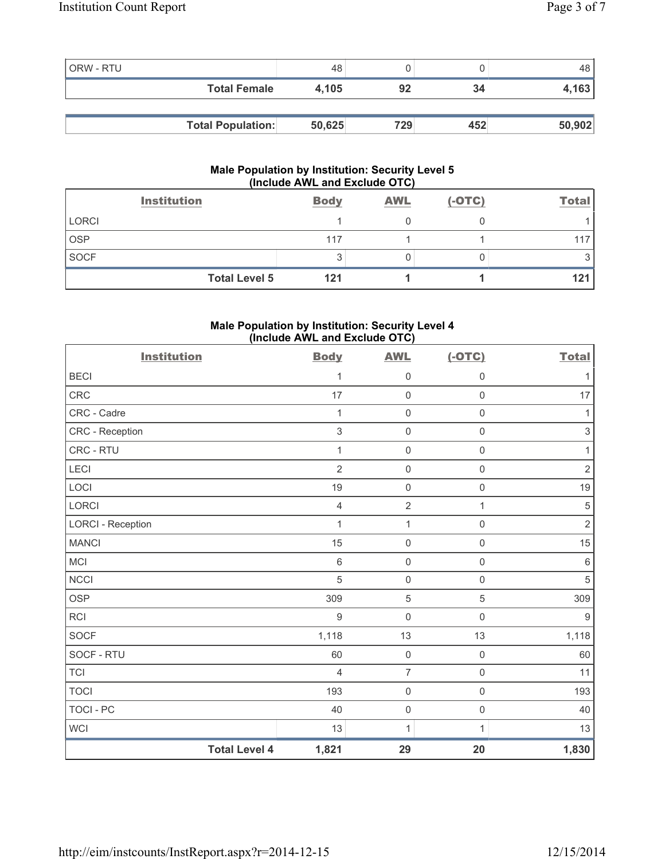| <b>ORW - RTU</b> |                          | 48     |     |     | 48     |
|------------------|--------------------------|--------|-----|-----|--------|
|                  | <b>Total Female</b>      | 4.105  | 92  | 34  | 4,163  |
|                  |                          |        |     |     |        |
|                  | <b>Total Population:</b> | 50,625 | 729 | 452 | 50,902 |

### **Male Population by Institution: Security Level 5 (Include AWL and Exclude OTC)**

|              | <b>Institution</b>   | <b>Body</b> | <b>AWL</b> | $(-OTC)$ | <b>Total</b> |
|--------------|----------------------|-------------|------------|----------|--------------|
| <b>LORCI</b> |                      |             |            |          |              |
| <b>OSP</b>   |                      | 117         |            |          |              |
| <b>SOCF</b>  |                      |             |            |          |              |
|              | <b>Total Level 5</b> | 121         |            |          | 121          |

## **Male Population by Institution: Security Level 4 (Include AWL and Exclude OTC)**

| <b>Institution</b>       |                      | <b>Body</b>    | <b>AWL</b>          | $(-OTC)$     | <b>Total</b>   |
|--------------------------|----------------------|----------------|---------------------|--------------|----------------|
| <b>BECI</b>              |                      | 1              | 0                   | $\mathsf 0$  |                |
| <b>CRC</b>               |                      | 17             | $\mathsf{O}\xspace$ | $\mathsf 0$  | 17             |
| CRC - Cadre              |                      | $\mathbf{1}$   | $\mathsf{O}\xspace$ | $\mathsf 0$  | $\mathbf{1}$   |
| CRC - Reception          |                      | $\sqrt{3}$     | 0                   | $\mathsf 0$  | 3              |
| CRC - RTU                |                      | $\mathbf{1}$   | $\mathsf 0$         | $\mathsf 0$  | 1              |
| LECI                     |                      | $\overline{2}$ | $\mathsf{O}\xspace$ | $\mathsf 0$  | $\overline{2}$ |
| LOCI                     |                      | 19             | $\mathsf{O}\xspace$ | $\mathsf 0$  | $19$           |
| <b>LORCI</b>             |                      | $\overline{4}$ | $\overline{2}$      | $\mathbf{1}$ | $\sqrt{5}$     |
| <b>LORCI - Reception</b> |                      | $\mathbf{1}$   | 1                   | $\mathsf 0$  | $\sqrt{2}$     |
| <b>MANCI</b>             |                      | 15             | $\mathsf 0$         | $\mathsf 0$  | 15             |
| MCI                      |                      | $\,6\,$        | $\mathsf{O}\xspace$ | $\mathsf 0$  | $\,6$          |
| <b>NCCI</b>              |                      | $\sqrt{5}$     | $\mathsf 0$         | $\mathsf 0$  | $\sqrt{5}$     |
| <b>OSP</b>               |                      | 309            | 5                   | 5            | 309            |
| <b>RCI</b>               |                      | 9              | 0                   | $\mathbf 0$  | $\overline{9}$ |
| <b>SOCF</b>              |                      | 1,118          | 13                  | 13           | 1,118          |
| SOCF - RTU               |                      | 60             | $\mathsf 0$         | $\mathsf 0$  | 60             |
| <b>TCI</b>               |                      | $\overline{4}$ | $\overline{7}$      | $\mathbf 0$  | 11             |
| <b>TOCI</b>              |                      | 193            | $\mathsf{O}\xspace$ | $\mathbf 0$  | 193            |
| <b>TOCI - PC</b>         |                      | 40             | $\mathsf{O}\xspace$ | $\mathsf 0$  | 40             |
| <b>WCI</b>               |                      | 13             | $\mathbf{1}$        | 1            | 13             |
|                          | <b>Total Level 4</b> | 1,821          | 29                  | 20           | 1,830          |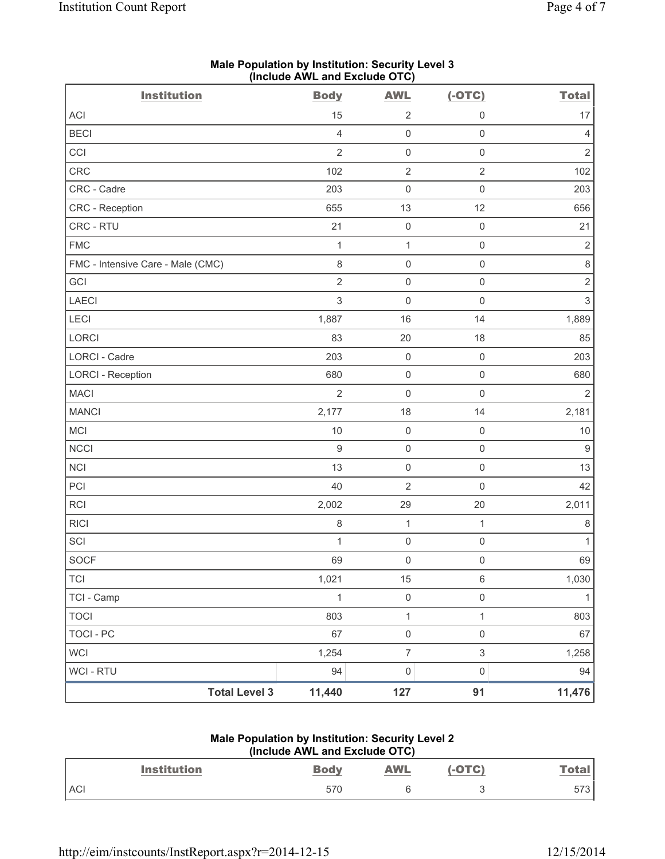| <b>Institution</b>                | $($ moludo Arra and Exclude OTO $)$<br><b>Body</b> | <b>AWL</b>          | $(-OTC)$            | <b>Total</b>   |
|-----------------------------------|----------------------------------------------------|---------------------|---------------------|----------------|
| ACI                               | 15                                                 | $\overline{2}$      | 0                   | 17             |
| <b>BECI</b>                       | $\overline{4}$                                     | $\mathsf 0$         | $\mathsf{O}\xspace$ | $\overline{4}$ |
| CCI                               | $\overline{2}$                                     | $\mathsf 0$         | $\mathsf{O}\xspace$ | $\overline{2}$ |
| CRC                               | 102                                                | $\mathbf 2$         | $\overline{2}$      | 102            |
| CRC - Cadre                       | 203                                                | $\mathsf 0$         | $\mathsf 0$         | 203            |
| CRC - Reception                   | 655                                                | 13                  | 12                  | 656            |
| CRC - RTU                         | 21                                                 | $\mathbf 0$         | $\mathsf{O}\xspace$ | 21             |
| <b>FMC</b>                        | 1                                                  | $\mathbf 1$         | $\mathsf{O}\xspace$ | $\sqrt{2}$     |
| FMC - Intensive Care - Male (CMC) | $\,8\,$                                            | $\mathsf{O}\xspace$ | $\mathsf{O}\xspace$ | $\,8\,$        |
| GCI                               | $\overline{2}$                                     | $\mathbf 0$         | $\mathsf 0$         | $\sqrt{2}$     |
| <b>LAECI</b>                      | $\mathsf 3$                                        | $\mathbf 0$         | $\mathsf{O}\xspace$ | $\mathfrak{S}$ |
| LECI                              | 1,887                                              | 16                  | 14                  | 1,889          |
| LORCI                             | 83                                                 | $20\,$              | $18$                | 85             |
| LORCI - Cadre                     | 203                                                | $\mathsf 0$         | $\mathsf{O}\xspace$ | 203            |
| <b>LORCI - Reception</b>          | 680                                                | $\mathsf{O}\xspace$ | $\mathsf{O}\xspace$ | 680            |
| <b>MACI</b>                       | $\overline{2}$                                     | $\mathsf{O}\xspace$ | $\mathsf{O}\xspace$ | $\overline{2}$ |
| <b>MANCI</b>                      | 2,177                                              | 18                  | 14                  | 2,181          |
| MCI                               | $10$                                               | $\mathsf{O}\xspace$ | $\mathsf{O}\xspace$ | $10$           |
| <b>NCCI</b>                       | $9\,$                                              | $\mathsf{O}\xspace$ | $\mathsf{O}\xspace$ | $9\,$          |
| <b>NCI</b>                        | 13                                                 | $\mathsf{O}\xspace$ | $\mathsf 0$         | 13             |
| PCI                               | 40                                                 | $\overline{2}$      | $\mathsf 0$         | 42             |
| RCI                               | 2,002                                              | 29                  | 20                  | 2,011          |
| <b>RICI</b>                       | $\,8\,$                                            | $\mathbf 1$         | $\mathbf{1}$        | $\,8\,$        |
| SCI                               | 1                                                  | $\mathbf 0$         | $\mathsf{O}\xspace$ | $\mathbf{1}$   |
| SOCF                              | 69                                                 | $\mathsf 0$         | $\mathsf{O}\xspace$ | 69             |
| <b>TCI</b>                        | 1,021                                              | 15                  | $\,6\,$             | 1,030          |
| TCI - Camp                        | $\mathbf{1}$                                       | $\mathsf{O}\xspace$ | $\mathsf{O}\xspace$ | $\mathbf{1}$   |
| <b>TOCI</b>                       | 803                                                | $\mathbf 1$         | $\mathbf{1}$        | 803            |
| <b>TOCI - PC</b>                  | 67                                                 | $\mathsf{O}\xspace$ | $\mathsf{O}\xspace$ | 67             |
| <b>WCI</b>                        | 1,254                                              | $\boldsymbol{7}$    | $\mathfrak{S}$      | 1,258          |
| <b>WCI - RTU</b>                  | 94                                                 | $\mathsf{O}\xspace$ | $\mathsf{O}\xspace$ | 94             |
| <b>Total Level 3</b>              | 11,440                                             | 127                 | 91                  | 11,476         |

### **Male Population by Institution: Security Level 3 (Include AWL and Exclude OTC)**

## **Male Population by Institution: Security Level 2 (Include AWL and Exclude OTC)**

| <b>Institution</b> | <b>Body</b> | <b>AWL</b><br><b>Contract Contract Contract Contract</b> | TC) | <u>Total</u> |
|--------------------|-------------|----------------------------------------------------------|-----|--------------|
| <b>AC</b>          | 570         |                                                          |     | 573<br>ں ، ں |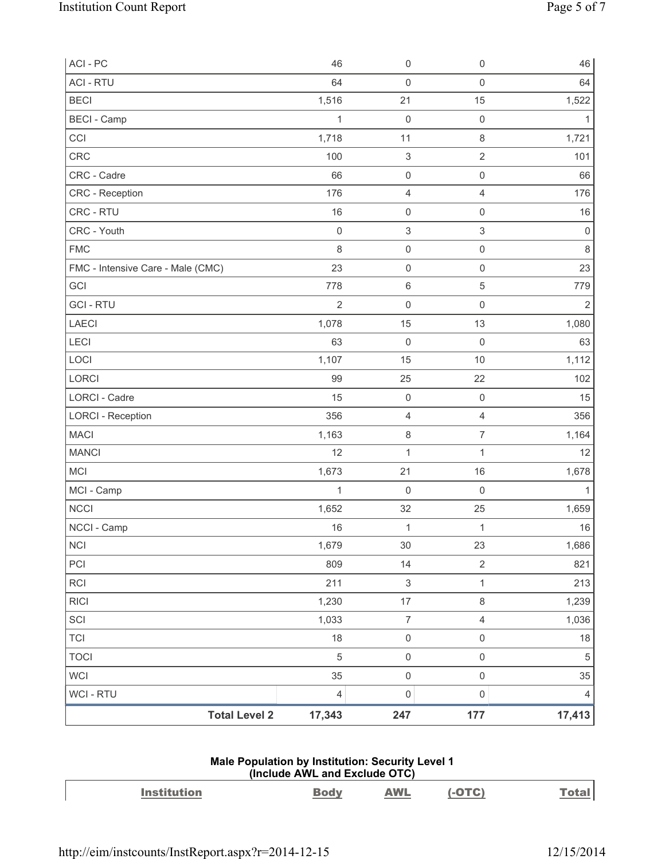| ACI - PC                          | 46             | 0                         | $\mathbf 0$               | 46             |
|-----------------------------------|----------------|---------------------------|---------------------------|----------------|
| <b>ACI - RTU</b>                  | 64             | $\mathsf 0$               | $\mathsf{O}\xspace$       | 64             |
| <b>BECI</b>                       | 1,516          | 21                        | 15                        | 1,522          |
| <b>BECI</b> - Camp                | $\mathbf{1}$   | $\mathbf 0$               | $\mathbf 0$               | 1              |
| CCI                               | 1,718          | 11                        | 8                         | 1,721          |
| CRC                               | 100            | $\ensuremath{\mathsf{3}}$ | $\sqrt{2}$                | 101            |
| CRC - Cadre                       | 66             | $\mathsf{O}\xspace$       | $\mathsf{O}\xspace$       | 66             |
| CRC - Reception                   | 176            | 4                         | $\overline{4}$            | 176            |
| CRC - RTU                         | 16             | $\mathsf{O}\xspace$       | $\mathsf{O}\xspace$       | 16             |
| CRC - Youth                       | $\mathsf 0$    | $\ensuremath{\mathsf{3}}$ | $\ensuremath{\mathsf{3}}$ | $\mathbf 0$    |
| <b>FMC</b>                        | 8              | $\mathsf{O}\xspace$       | $\mathsf{O}\xspace$       | $\,8\,$        |
| FMC - Intensive Care - Male (CMC) | 23             | $\mathsf 0$               | $\mathsf{O}\xspace$       | 23             |
| GCI                               | 778            | 6                         | $\,$ 5 $\,$               | 779            |
| <b>GCI-RTU</b>                    | $\overline{2}$ | 0                         | $\mathbf 0$               | $\overline{2}$ |
| <b>LAECI</b>                      | 1,078          | 15                        | 13                        | 1,080          |
| LECI                              | 63             | $\mathbf 0$               | $\mathsf{O}\xspace$       | 63             |
| LOCI                              | 1,107          | 15                        | 10                        | 1,112          |
| LORCI                             | 99             | 25                        | 22                        | 102            |
| LORCI - Cadre                     | 15             | $\mathsf{O}\xspace$       | $\mathsf{O}\xspace$       | 15             |
| <b>LORCI - Reception</b>          | 356            | 4                         | $\overline{4}$            | 356            |
| <b>MACI</b>                       | 1,163          | 8                         | $\overline{7}$            | 1,164          |
| <b>MANCI</b>                      | 12             | $\mathbf 1$               | 1                         | 12             |
| MCI                               | 1,673          | 21                        | 16                        | 1,678          |
| MCI - Camp                        | $\mathbf{1}$   | 0                         | $\mathbf 0$               | 1              |
| <b>NCCI</b>                       | 1,652          | 32                        | 25                        | 1,659          |
| NCCI - Camp                       | 16             | $\mathbf{1}$              | $\mathbf{1}$              | $16\,$         |
| $\sf NCI$                         | 1,679          | $30\,$                    | 23                        | 1,686          |
| PCI                               | 809            | 14                        | $\sqrt{2}$                | 821            |
| <b>RCI</b>                        | 211            | $\ensuremath{\mathsf{3}}$ | $\mathbf{1}$              | 213            |
| <b>RICI</b>                       | 1,230          | $17$                      | $\,8\,$                   | 1,239          |
| SCI                               | 1,033          | $\overline{7}$            | $\overline{4}$            | 1,036          |
| <b>TCI</b>                        | 18             | $\mathsf{O}\xspace$       | $\mathsf{O}\xspace$       | 18             |
| <b>TOCI</b>                       | $\sqrt{5}$     | $\mathsf{O}\xspace$       | $\mathsf{O}\xspace$       | $\,$ 5 $\,$    |
| <b>WCI</b>                        | 35             | $\mathsf{O}\xspace$       | $\mathsf{O}\xspace$       | 35             |
| WCI - RTU                         | 4              | $\mathsf{O}\xspace$       | $\mathsf{O}\xspace$       | $\overline{4}$ |
| <b>Total Level 2</b>              | 17,343         | 247                       | 177                       | 17,413         |

## **Male Population by Institution: Security Level 1 (Include AWL and Exclude OTC)**

| Institution | AWL | י הדה |  |
|-------------|-----|-------|--|
|             |     |       |  |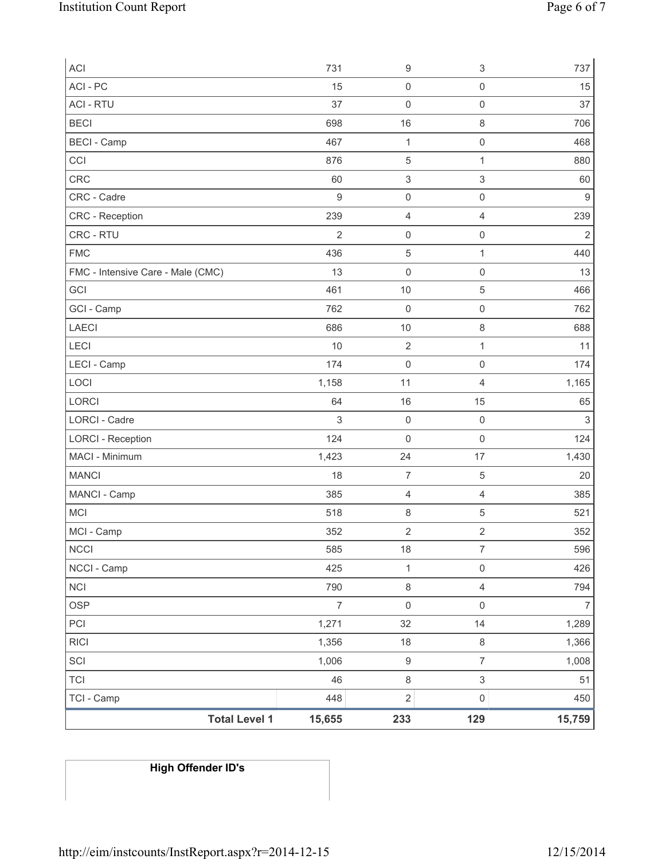| <b>Total Level 1</b>              | 15,655           | 233                         | 129                        | 15,759                    |
|-----------------------------------|------------------|-----------------------------|----------------------------|---------------------------|
| TCI - Camp                        | 448              | $\sqrt{2}$                  | $\mathsf{O}\xspace$        | 450                       |
| <b>TCI</b>                        | 46               | $\,8\,$                     | $\ensuremath{\mathsf{3}}$  | 51                        |
| SCI                               | 1,006            | $\boldsymbol{9}$            | $\overline{7}$             | 1,008                     |
| <b>RICI</b>                       | 1,356            | 18                          | 8                          | 1,366                     |
| PCI                               | 1,271            | 32                          | 14                         | 1,289                     |
| <b>OSP</b>                        | $\boldsymbol{7}$ | $\mathsf{O}\xspace$         | $\mathsf{O}\xspace$        | $\overline{7}$            |
| <b>NCI</b>                        | 790              | $\,8\,$                     | $\overline{4}$             | 794                       |
| NCCI - Camp                       | 425              | $\mathbf{1}$                | $\mathsf{O}\xspace$        | 426                       |
| <b>NCCI</b>                       | 585              | 18                          | 7                          | 596                       |
| MCI - Camp                        | 352              | $\overline{2}$              | $\overline{2}$             | 352                       |
| MCI                               | 518              | $\,8\,$                     | $\,$ 5 $\,$                | 521                       |
| MANCI - Camp                      | 385              | 4                           | $\overline{4}$             | 385                       |
| <b>MANCI</b>                      | 18               | $\overline{7}$              | $\,$ 5 $\,$                | 20                        |
| MACI - Minimum                    | 1,423            | 24                          | 17                         | 1,430                     |
| <b>LORCI - Reception</b>          | 124              | $\mathsf{O}\xspace$         | $\mathsf{O}\xspace$        | 124                       |
| <b>LORCI - Cadre</b>              | 3                | $\mathsf{O}\xspace$         | $\mathsf{O}\xspace$        | $\ensuremath{\mathsf{3}}$ |
| LORCI                             | 64               | 16                          | 15                         | 65                        |
| LOCI                              | 1,158            | 11                          | 4                          | 1,165                     |
| LECI - Camp                       | 174              | $\mathsf{O}\xspace$         | $\mathsf{O}\xspace$        | 174                       |
| LECI                              | 10               | $10$<br>$\sqrt{2}$          | $\mathbf{1}$               | 11                        |
| <b>LAECI</b>                      | 686              |                             | 8                          | 762<br>688                |
| GCI<br>GCI - Camp                 | 762              | $10$<br>$\mathsf{O}\xspace$ | $\,$ 5 $\,$<br>$\mathsf 0$ |                           |
| FMC - Intensive Care - Male (CMC) | 13<br>461        | $\mathbf 0$                 | $\mathsf 0$                | 13<br>466                 |
| <b>FMC</b>                        | 436              | $\mathbf 5$                 | $\mathbf{1}$               | 440                       |
| CRC - RTU                         | $\overline{2}$   | $\mathsf{O}\xspace$         | $\mathsf{O}\xspace$        | $\overline{2}$            |
| CRC - Reception                   | 239              | $\overline{4}$              | $\overline{4}$             | 239                       |
| CRC - Cadre                       | $9\,$            | $\mathsf{O}\xspace$         | $\mathsf 0$                | $9\,$                     |
| <b>CRC</b>                        | 60               | $\ensuremath{\mathsf{3}}$   | $\,$ 3 $\,$                | 60                        |
| CCI                               | 876              | $\,$ 5 $\,$                 | $\mathbf{1}$               | 880                       |
| <b>BECI - Camp</b>                | 467              | $\mathbf{1}$                | $\mathsf 0$                | 468                       |
| <b>BECI</b>                       | 698              | 16                          | 8                          | 706                       |
| <b>ACI - RTU</b>                  | 37               | $\mathbf 0$                 | $\mathsf{O}\xspace$        | 37                        |
| ACI - PC                          | 15               | $\mathsf{O}\xspace$         | $\mathsf{O}\xspace$        | 15                        |
| ACI                               | 731              | $\boldsymbol{9}$            | $\ensuremath{\mathsf{3}}$  | 737                       |

# **High Offender ID's**